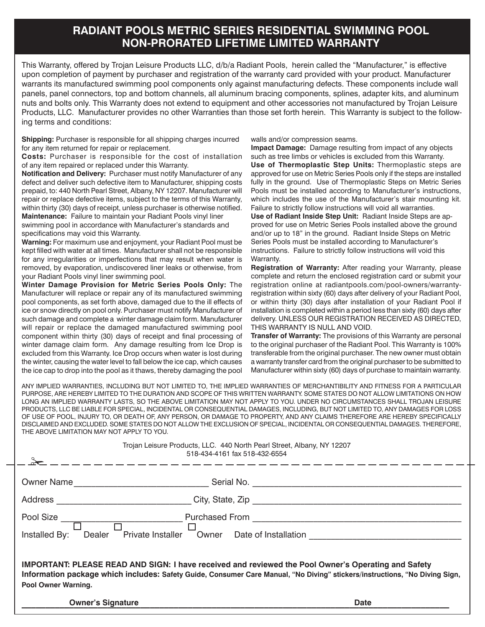## **RADIANT POOLS METRIC SERIES RESIDENTIAL SWIMMING POOL NON-PRORATED LIFETIME LIMITED WARRANTY**

This Warranty, offered by Trojan Leisure Products LLC, d/b/a Radiant Pools, herein called the "Manufacturer," is effective upon completion of payment by purchaser and registration of the warranty card provided with your product. Manufacturer warrants its manufactured swimming pool components only against manufacturing defects. These components include wall panels, panel connectors, top and bottom channels, all aluminum bracing components, splines, adapter kits, and aluminum nuts and bolts only. This Warranty does not extend to equipment and other accessories not manufactured by Trojan Leisure Products, LLC. Manufacturer provides no other Warranties than those set forth herein. This Warranty is subject to the following terms and conditions:

**Shipping:** Purchaser is responsible for all shipping charges incurred for any item returned for repair or replacement.

**Costs:** Purchaser is responsible for the cost of installation of any item repaired or replaced under this Warranty.

**Notification and Delivery:** Purchaser must notify Manufacturer of any defect and deliver such defective item to Manufacturer, shipping costs prepaid, to: 440 North Pearl Street, Albany, NY 12207. Manufacturer will repair or replace defective items, subject to the terms of this Warranty, within thirty (30) days of receipt, unless purchaser is otherwise notified.

**Maintenance:** Failure to maintain your Radiant Pools vinyl liner swimming pool in accordance with Manufacturer's standards and specifications may void this Warranty.

**Warning:** For maximum use and enjoyment, your Radiant Pool must be kept filled with water at all times. Manufacturer shall not be responsible for any irregularities or imperfections that may result when water is removed, by evaporation, undiscovered liner leaks or otherwise, from your Radiant Pools vinyl liner swimming pool.

**Winter Damage Provision for Metric Series Pools Only:** The Manufacturer will replace or repair any of its manufactured swimming pool components, as set forth above, damaged due to the ill effects of ice or snow directly on pool only. Purchaser must notify Manufacturer of such damage and complete a winter damage claim form. Manufacturer will repair or replace the damaged manufactured swimming pool component within thirty (30) days of receipt and final processing of winter damage claim form. Any damage resulting from Ice Drop is excluded from this Warranty. Ice Drop occurs when water is lost during the winter, causing the water level to fall below the ice cap, which causes the ice cap to drop into the pool as it thaws, thereby damaging the pool walls and/or compression seams.

**Impact Damage:** Damage resulting from impact of any objects such as tree limbs or vehicles is excluded from this Warranty. **Use of Thermoplastic Step Units:** Thermoplastic steps are approved for use on Metric Series Pools only if the steps are installed fully in the ground. Use of Thermoplastic Steps on Metric Series Pools must be installed according to Manufacturer's instructions, which includes the use of the Manufacturer's stair mounting kit. Failure to strictly follow instructions will void all warranties.

**Use of Radiant Inside Step Unit:** Radiant Inside Steps are approved for use on Metric Series Pools installed above the ground and/or up to 18" in the ground. Radiant Inside Steps on Metric Series Pools must be installed according to Manufacturer's instructions. Failure to strictly follow instructions will void this Warranty.

**Registration of Warranty:** After reading your Warranty, please complete and return the enclosed registration card or submit your registration online at radiantpools.com/pool-owners/warrantyregistration within sixty (60) days after delivery of your Radiant Pool, or within thirty (30) days after installation of your Radiant Pool if installation is completed within a period less than sixty (60) days after delivery. UNLESS OUR REGISTRATION RECEIVED AS DIRECTED, THIS WARRANTY IS NULL AND VOID.

**Transfer of Warranty:** The provisions of this Warranty are personal to the original purchaser of the Radiant Pool. This Warranty is 100% transferable from the original purchaser. The new owner must obtain a warranty transfer card from the original purchaser to be submitted to Manufacturer within sixty (60) days of purchase to maintain warranty.

ANY IMPLIED WARRANTIES, INCLUDING BUT NOT LIMITED TO, THE IMPLIED WARRANTIES OF MERCHANTIBILITY AND FITNESS FOR A PARTICULAR PURPOSE, ARE HEREBY LIMITED TO THE DURATION AND SCOPE OF THIS WRITTEN WARRANTY. SOME STATES DO NOT ALLOW LIMITATIONS ON HOW LONG AN IMPLIED WARRANTY LASTS, SO THE ABOVE LIMITATION MAY NOT APPLY TO YOU. UNDER NO CIRCUMSTANCES SHALL TROJAN LEISURE PRODUCTS, LLC BE LIABLE FOR SPECIAL, INCIDENTAL OR CONSEQUENTIAL DAMAGES, INCLUDING, BUT NOT LIMITED TO, ANY DAMAGES FOR LOSS OF USE OF POOL, INJURY TO, OR DEATH OF, ANY PERSON, OR DAMAGE TO PROPERTY, AND ANY CLAIMS THEREFORE ARE HEREBY SPECIFICALLY DISCLAIMED AND EXCLUDED. SOME STATES DO NOT ALLOW THE EXCLUSION OF SPECIAL, INCIDENTAL OR CONSEQUENTIAL DAMAGES. THEREFORE, THE ABOVE LIMITATION MAY NOT APPLY TO YOU.

|                                                                                                                                                                                                                                                                  | Trojan Leisure Products, LLC. 440 North Pearl Street, Albany, NY 12207<br>518-434-4161 fax 518-432-6554 |
|------------------------------------------------------------------------------------------------------------------------------------------------------------------------------------------------------------------------------------------------------------------|---------------------------------------------------------------------------------------------------------|
| <b>Owner Name</b>                                                                                                                                                                                                                                                | Serial No.                                                                                              |
| Address ______________________                                                                                                                                                                                                                                   |                                                                                                         |
| Pool Size                                                                                                                                                                                                                                                        | Purchased From The Purchased From                                                                       |
| Private Installer<br>Installed By:<br>Dealer                                                                                                                                                                                                                     | Owner Date of Installation                                                                              |
| <b>IMPORTANT: PLEASE READ AND SIGN: I have received and reviewed the Pool Owner's Operating and Safety</b><br>Information package which includes: Safety Guide, Consumer Care Manual, "No Diving" stickers/instructions, "No Diving Sign,<br>Pool Owner Warning. |                                                                                                         |

**\_\_\_\_\_\_\_\_\_\_\_\_\_\_\_\_\_\_\_\_\_\_\_\_\_\_\_\_\_\_\_\_\_\_\_\_\_\_\_\_\_\_\_\_\_\_\_\_\_\_\_\_\_\_\_\_\_\_\_\_\_\_\_\_\_\_\_\_\_\_\_\_\_\_\_\_\_\_\_\_\_\_\_\_\_\_\_\_\_\_ Owner's Signature Date**